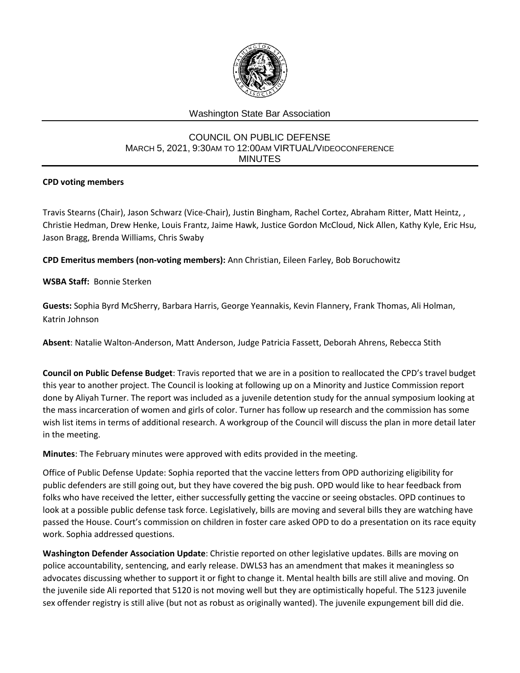

## Washington State Bar Association

## COUNCIL ON PUBLIC DEFENSE MARCH 5, 2021, 9:30AM TO 12:00AM VIRTUAL/VIDEOCONFERENCE MINUTES

## **CPD voting members**

Travis Stearns (Chair), Jason Schwarz (Vice-Chair), Justin Bingham, Rachel Cortez, Abraham Ritter, Matt Heintz, , Christie Hedman, Drew Henke, Louis Frantz, Jaime Hawk, Justice Gordon McCloud, Nick Allen, Kathy Kyle, Eric Hsu, Jason Bragg, Brenda Williams, Chris Swaby

**CPD Emeritus members (non-voting members):** Ann Christian, Eileen Farley, Bob Boruchowitz

**WSBA Staff:** Bonnie Sterken

**Guests:** Sophia Byrd McSherry, Barbara Harris, George Yeannakis, Kevin Flannery, Frank Thomas, Ali Holman, Katrin Johnson

**Absent**: Natalie Walton-Anderson, Matt Anderson, Judge Patricia Fassett, Deborah Ahrens, Rebecca Stith

**Council on Public Defense Budget**: Travis reported that we are in a position to reallocated the CPD's travel budget this year to another project. The Council is looking at following up on a Minority and Justice Commission report done by Aliyah Turner. The report was included as a juvenile detention study for the annual symposium looking at the mass incarceration of women and girls of color. Turner has follow up research and the commission has some wish list items in terms of additional research. A workgroup of the Council will discuss the plan in more detail later in the meeting.

**Minutes**: The February minutes were approved with edits provided in the meeting.

Office of Public Defense Update: Sophia reported that the vaccine letters from OPD authorizing eligibility for public defenders are still going out, but they have covered the big push. OPD would like to hear feedback from folks who have received the letter, either successfully getting the vaccine or seeing obstacles. OPD continues to look at a possible public defense task force. Legislatively, bills are moving and several bills they are watching have passed the House. Court's commission on children in foster care asked OPD to do a presentation on its race equity work. Sophia addressed questions.

**Washington Defender Association Update**: Christie reported on other legislative updates. Bills are moving on police accountability, sentencing, and early release. DWLS3 has an amendment that makes it meaningless so advocates discussing whether to support it or fight to change it. Mental health bills are still alive and moving. On the juvenile side Ali reported that 5120 is not moving well but they are optimistically hopeful. The 5123 juvenile sex offender registry is still alive (but not as robust as originally wanted). The juvenile expungement bill did die.